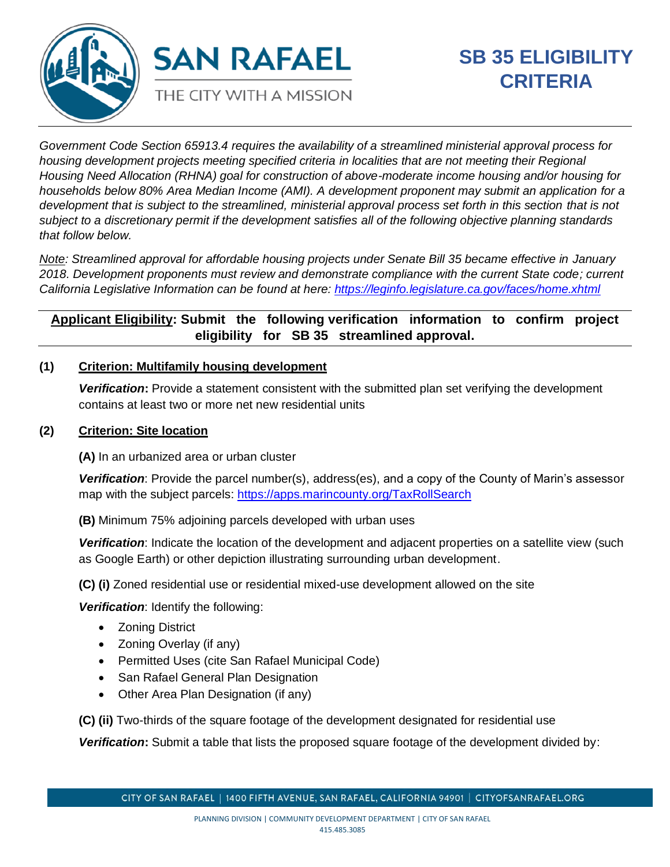

*Government Code Section 65913.4 requires the availability of a streamlined ministerial approval process for housing development projects meeting specified criteria in localities that are not meeting their Regional Housing Need Allocation (RHNA) goal for construction of above-moderate income housing and/or housing for households below 80% Area Median Income (AMI). A development proponent may submit an application for a development that is subject to the streamlined, ministerial approval process set forth in this section that is not subject to a discretionary permit if the development satisfies all of the following objective planning standards that follow below.*

*Note: Streamlined approval for affordable housing projects under Senate Bill 35 became effective in January 2018. Development proponents must review and demonstrate compliance with the current State code; current California Legislative Information can be found at here: <https://leginfo.legislature.ca.gov/faces/home.xhtml>*

# **Applicant Eligibility: Submit the following verification information to confirm project eligibility for SB 35 streamlined approval.**

### **(1) Criterion: Multifamily housing development**

*Verification***:** Provide a statement consistent with the submitted plan set verifying the development contains at least two or more net new residential units

### **(2) Criterion: Site location**

**(A)** In an urbanized area or urban cluster

*Verification*: Provide the parcel number(s), address(es), and a copy of the County of Marin's assessor map with the subject parcels:<https://apps.marincounty.org/TaxRollSearch>

**(B)** Minimum 75% adjoining parcels developed with urban uses

*Verification*: Indicate the location of the development and adjacent properties on a satellite view (such as Google Earth) or other depiction illustrating surrounding urban development.

**(C) (i)** Zoned residential use or residential mixed-use development allowed on the site

*Verification*: Identify the following:

- Zoning District
- Zoning Overlay (if any)
- Permitted Uses (cite San Rafael Municipal Code)
- San Rafael General Plan Designation
- Other Area Plan Designation (if any)

**(C) (ii)** Two-thirds of the square footage of the development designated for residential use

*Verification***:** Submit a table that lists the proposed square footage of the development divided by: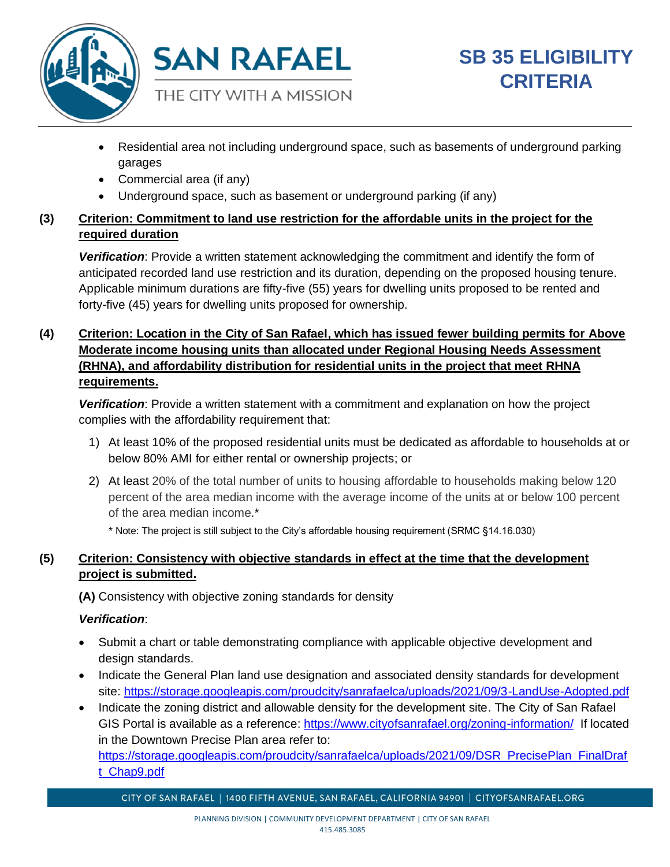

- Residential area not including underground space, such as basements of underground parking garages
- Commercial area (if any)
- Underground space, such as basement or underground parking (if any)

# **(3) Criterion: Commitment to land use restriction for the affordable units in the project for the required duration**

*Verification*: Provide a written statement acknowledging the commitment and identify the form of anticipated recorded land use restriction and its duration, depending on the proposed housing tenure. Applicable minimum durations are fifty-five (55) years for dwelling units proposed to be rented and forty-five (45) years for dwelling units proposed for ownership.

## **(4) Criterion: Location in the City of San Rafael, which has issued fewer building permits for Above Moderate income housing units than allocated under Regional Housing Needs Assessment (RHNA), and affordability distribution for residential units in the project that meet RHNA requirements.**

*Verification*: Provide a written statement with a commitment and explanation on how the project complies with the affordability requirement that:

- 1) At least 10% of the proposed residential units must be dedicated as affordable to households at or below 80% AMI for either rental or ownership projects; or
- 2) At least 20% of the total number of units to housing affordable to households making below 120 percent of the area median income with the average income of the units at or below 100 percent of the area median income.\*

\* Note: The project is still subject to the City's affordable housing requirement (SRMC §14.16.030)

# **(5) Criterion: Consistency with objective standards in effect at the time that the development project is submitted.**

**(A)** Consistency with objective zoning standards for density

### *Verification*:

- Submit a chart or table demonstrating compliance with applicable objective development and design standards.
- Indicate the General Plan land use designation and associated density standards for development site:<https://storage.googleapis.com/proudcity/sanrafaelca/uploads/2021/09/3-LandUse-Adopted.pdf>
- Indicate the zoning district and allowable density for the development site. The City of San Rafael GIS Portal is available as a reference: <https://www.cityofsanrafael.org/zoning-information/>If located in the Downtown Precise Plan area refer to: [https://storage.googleapis.com/proudcity/sanrafaelca/uploads/2021/09/DSR\\_PrecisePlan\\_FinalDraf](https://storage.googleapis.com/proudcity/sanrafaelca/uploads/2021/09/DSR_PrecisePlan_FinalDraft_Chap9.pdf) [t\\_Chap9.pdf](https://storage.googleapis.com/proudcity/sanrafaelca/uploads/2021/09/DSR_PrecisePlan_FinalDraft_Chap9.pdf)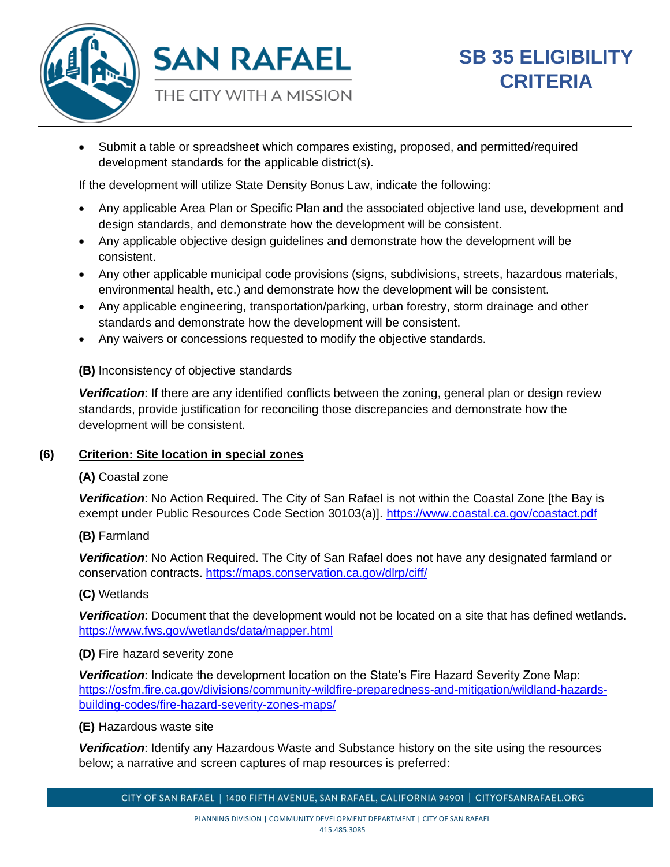

• Submit a table or spreadsheet which compares existing, proposed, and permitted/required development standards for the applicable district(s).

If the development will utilize State Density Bonus Law, indicate the following:

- Any applicable Area Plan or Specific Plan and the associated objective land use, development and design standards, and demonstrate how the development will be consistent.
- Any applicable objective design guidelines and demonstrate how the development will be consistent.
- Any other applicable municipal code provisions (signs, subdivisions, streets, hazardous materials, environmental health, etc.) and demonstrate how the development will be consistent.
- Any applicable engineering, transportation/parking, urban forestry, storm drainage and other standards and demonstrate how the development will be consistent.
- Any waivers or concessions requested to modify the objective standards.

**(B)** Inconsistency of objective standards

*Verification*: If there are any identified conflicts between the zoning, general plan or design review standards, provide justification for reconciling those discrepancies and demonstrate how the development will be consistent.

### **(6) Criterion: Site location in special zones**

### **(A)** Coastal zone

*Verification*: No Action Required. The City of San Rafael is not within the Coastal Zone [the Bay is exempt under Public Resources Code Section 30103(a)].<https://www.coastal.ca.gov/coastact.pdf>

### **(B)** Farmland

*Verification*: No Action Required. The City of San Rafael does not have any designated farmland or conservation contracts.<https://maps.conservation.ca.gov/dlrp/ciff/>

### **(C)** Wetlands

*Verification*: Document that the development would not be located on a site that has defined wetlands. <https://www.fws.gov/wetlands/data/mapper.html>

### **(D)** Fire hazard severity zone

*Verification*: Indicate the development location on the State's Fire Hazard Severity Zone Map: [https://osfm.fire.ca.gov/divisions/community-wildfire-preparedness-and-mitigation/wildland-hazards](https://osfm.fire.ca.gov/divisions/community-wildfire-preparedness-and-mitigation/wildland-hazards-building-codes/fire-hazard-severity-zones-maps/)[building-codes/fire-hazard-severity-zones-maps/](https://osfm.fire.ca.gov/divisions/community-wildfire-preparedness-and-mitigation/wildland-hazards-building-codes/fire-hazard-severity-zones-maps/)

### **(E)** Hazardous waste site

*Verification*: Identify any Hazardous Waste and Substance history on the site using the resources below; a narrative and screen captures of map resources is preferred: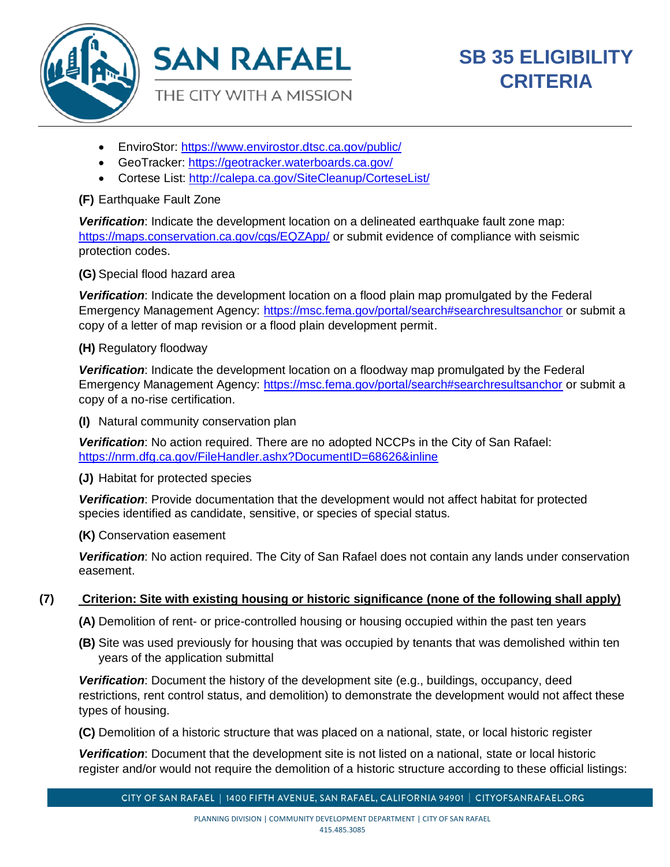

- EnviroStor:<https://www.envirostor.dtsc.ca.gov/public/>
- GeoTracker:<https://geotracker.waterboards.ca.gov/>
- Cortese List:<http://calepa.ca.gov/SiteCleanup/CorteseList/>

### **(F)** Earthquake Fault Zone

*Verification*: Indicate the development location on a delineated earthquake fault zone map: <https://maps.conservation.ca.gov/cgs/EQZApp/> or submit evidence of compliance with seismic protection codes.

**(G)** Special flood hazard area

*Verification*: Indicate the development location on a flood plain map promulgated by the Federal Emergency Management Agency:<https://msc.fema.gov/portal/search#searchresultsanchor> or submit a copy of a letter of map revision or a flood plain development permit.

**(H)** Regulatory floodway

*Verification*: Indicate the development location on a floodway map promulgated by the Federal Emergency Management Agency:<https://msc.fema.gov/portal/search#searchresultsanchor> or submit a copy of a no-rise certification.

**(I)** Natural community conservation plan

*Verification*: No action required. There are no adopted NCCPs in the City of San Rafael: <https://nrm.dfg.ca.gov/FileHandler.ashx?DocumentID=68626&inline>

**(J)** Habitat for protected species

*Verification*: Provide documentation that the development would not affect habitat for protected species identified as candidate, sensitive, or species of special status.

**(K)** Conservation easement

*Verification*: No action required. The City of San Rafael does not contain any lands under conservation easement.

### **(7) Criterion: Site with existing housing or historic significance (none of the following shall apply)**

**(A)** Demolition of rent- or price-controlled housing or housing occupied within the past ten years

**(B)** Site was used previously for housing that was occupied by tenants that was demolished within ten years of the application submittal

*Verification*: Document the history of the development site (e.g., buildings, occupancy, deed restrictions, rent control status, and demolition) to demonstrate the development would not affect these types of housing.

**(C)** Demolition of a historic structure that was placed on a national, state, or local historic register

*Verification*: Document that the development site is not listed on a national, state or local historic register and/or would not require the demolition of a historic structure according to these official listings:

CITY OF SAN RAFAEL | 1400 FIFTH AVENUE, SAN RAFAEL, CALIFORNIA 94901 | CITYOFSANRAFAEL.ORG